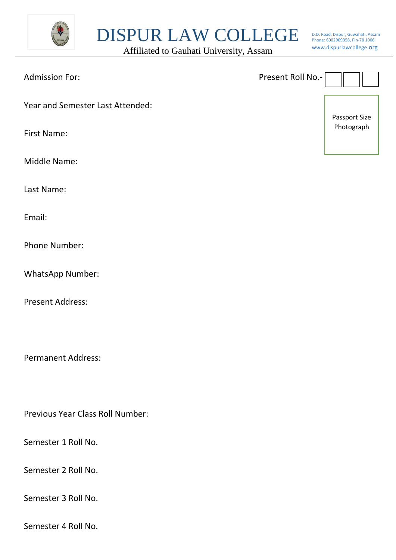

DISPUR LAW COLLEGE

Affiliated to Gauhati University, Assam

D.D. Road, Dispur, Guwahati, Assam Phone: 6002909358, Pin-78 1006 www.dispurlawcollege.org

| <b>Admission For:</b>            | Present Roll No.- |  |
|----------------------------------|-------------------|--|
| Year and Semester Last Attended: | Passport Size     |  |
| <b>First Name:</b>               | Photograph        |  |
| Middle Name:                     |                   |  |
| Last Name:                       |                   |  |

Email:

Phone Number:

WhatsApp Number:

Present Address:

Permanent Address:

Previous Year Class Roll Number:

Semester 1 Roll No.

Semester 2 Roll No.

Semester 3 Roll No.

Semester 4 Roll No.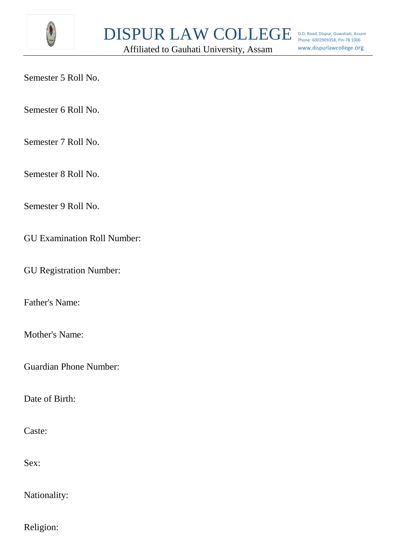

Affiliated to Gauhati University, Assam

Semester 5 Roll No.

Semester 6 Roll No.

Semester 7 Roll No.

Semester 8 Roll No.

Semester 9 Roll No.

GU Examination Roll Number:

GU Registration Number:

Father's Name:

Mother's Name:

Guardian Phone Number:

Date of Birth:

Caste:

Sex:

Nationality:

Religion: